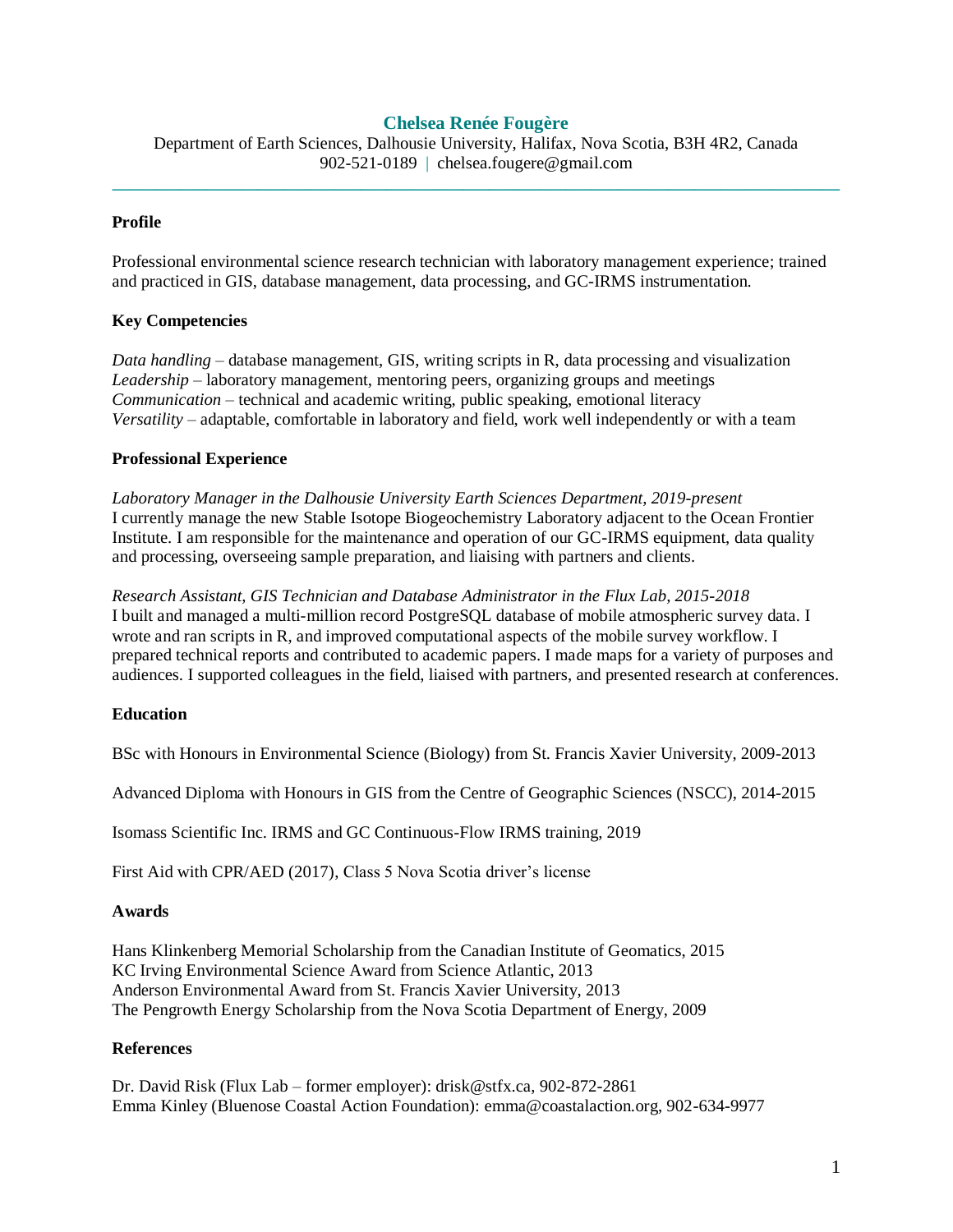# **Chelsea Renée Fougère**

Department of Earth Sciences, Dalhousie University, Halifax, Nova Scotia, B3H 4R2, Canada 902-521-0189 | chelsea.fougere@gmail.com **\_\_\_\_\_\_\_\_\_\_\_\_\_\_\_\_\_\_\_\_\_\_\_\_\_\_\_\_\_\_\_\_\_\_\_\_\_\_\_\_\_\_\_\_\_\_\_\_\_\_\_\_\_\_\_\_\_\_\_\_\_\_\_\_\_\_\_\_\_\_\_\_\_\_\_\_\_\_\_\_\_\_\_\_\_**

## **Profile**

Professional environmental science research technician with laboratory management experience; trained and practiced in GIS, database management, data processing, and GC-IRMS instrumentation.

# **Key Competencies**

*Data handling* – database management, GIS, writing scripts in R, data processing and visualization *Leadership* – laboratory management, mentoring peers, organizing groups and meetings *Communication* – technical and academic writing, public speaking, emotional literacy *Versatility* – adaptable, comfortable in laboratory and field, work well independently or with a team

### **Professional Experience**

*Laboratory Manager in the Dalhousie University Earth Sciences Department, 2019-present* I currently manage the new Stable Isotope Biogeochemistry Laboratory adjacent to the Ocean Frontier Institute. I am responsible for the maintenance and operation of our GC-IRMS equipment, data quality and processing, overseeing sample preparation, and liaising with partners and clients.

*Research Assistant, GIS Technician and Database Administrator in the Flux Lab, 2015-2018* I built and managed a multi-million record PostgreSQL database of mobile atmospheric survey data. I wrote and ran scripts in R, and improved computational aspects of the mobile survey workflow. I prepared technical reports and contributed to academic papers. I made maps for a variety of purposes and audiences. I supported colleagues in the field, liaised with partners, and presented research at conferences.

### **Education**

BSc with Honours in Environmental Science (Biology) from St. Francis Xavier University, 2009-2013

Advanced Diploma with Honours in GIS from the Centre of Geographic Sciences (NSCC), 2014-2015

Isomass Scientific Inc. IRMS and GC Continuous-Flow IRMS training, 2019

First Aid with CPR/AED (2017), Class 5 Nova Scotia driver's license

### **Awards**

Hans Klinkenberg Memorial Scholarship from the Canadian Institute of Geomatics, 2015 KC Irving Environmental Science Award from Science Atlantic, 2013 Anderson Environmental Award from St. Francis Xavier University, 2013 The Pengrowth Energy Scholarship from the Nova Scotia Department of Energy, 2009

### **References**

Dr. David Risk (Flux Lab – former employer): drisk@stfx.ca, 902-872-2861 Emma Kinley (Bluenose Coastal Action Foundation): emma@coastalaction.org, 902-634-9977